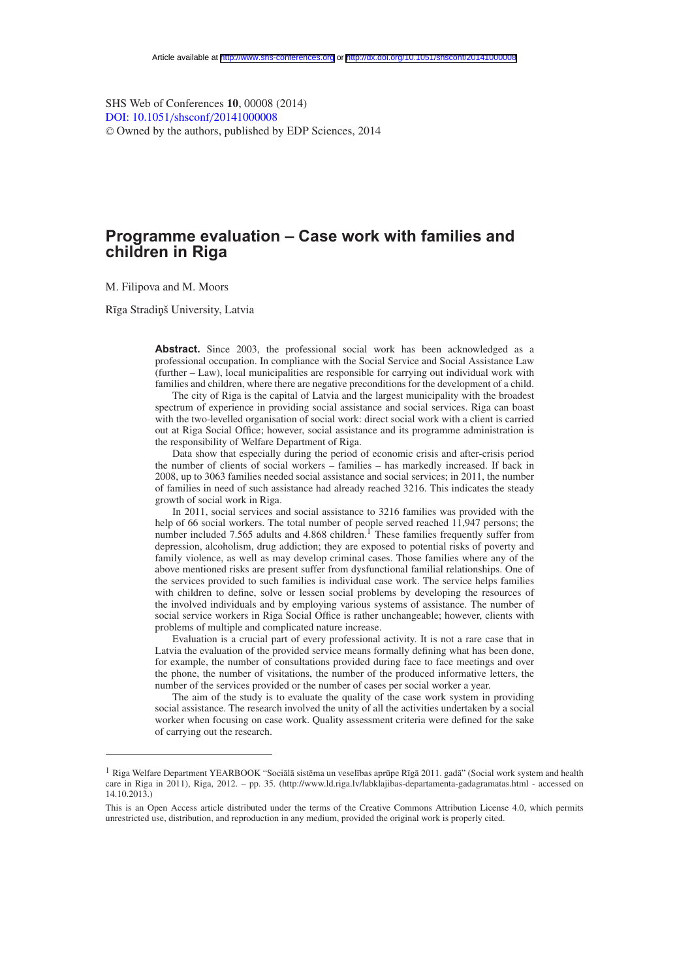SHS Web of Conferences **10**, 00008 (2014) [DOI: 10.1051](http://dx.doi.org/10.1051/shsconf/20141000008)/shsconf/20141000008 <sup>C</sup> Owned by the authors, published by EDP Sciences, 2014

# **Programme evaluation – Case work with families and children in Riga**

M. Filipova and M. Moors

Rīga Stradiņš University, Latvia

Abstract. Since 2003, the professional social work has been acknowledged as a professional occupation. In compliance with the Social Service and Social Assistance Law (further – Law), local municipalities are responsible for carrying out individual work with families and children, where there are negative preconditions for the development of a child.

The city of Riga is the capital of Latvia and the largest municipality with the broadest spectrum of experience in providing social assistance and social services. Riga can boast with the two-levelled organisation of social work: direct social work with a client is carried out at Riga Social Office; however, social assistance and its programme administration is the responsibility of Welfare Department of Riga.

Data show that especially during the period of economic crisis and after-crisis period the number of clients of social workers – families – has markedly increased. If back in 2008, up to 3063 families needed social assistance and social services; in 2011, the number of families in need of such assistance had already reached 3216. This indicates the steady growth of social work in Riga.

In 2011, social services and social assistance to 3216 families was provided with the help of 66 social workers. The total number of people served reached 11,947 persons; the number included 7.565 adults and 4.868 children.<sup>1</sup> These families frequently suffer from depression, alcoholism, drug addiction; they are exposed to potential risks of poverty and family violence, as well as may develop criminal cases. Those families where any of the above mentioned risks are present suffer from dysfunctional familial relationships. One of the services provided to such families is individual case work. The service helps families with children to define, solve or lessen social problems by developing the resources of the involved individuals and by employing various systems of assistance. The number of social service workers in Riga Social Office is rather unchangeable; however, clients with problems of multiple and complicated nature increase.

Evaluation is a crucial part of every professional activity. It is not a rare case that in Latvia the evaluation of the provided service means formally defining what has been done, for example, the number of consultations provided during face to face meetings and over the phone, the number of visitations, the number of the produced informative letters, the number of the services provided or the number of cases per social worker a year.

The aim of the study is to evaluate the quality of the case work system in providing social assistance. The research involved the unity of all the activities undertaken by a social worker when focusing on case work. Quality assessment criteria were defined for the sake of carrying out the research.

<sup>&</sup>lt;sup>1</sup> Riga Welfare Department YEARBOOK "Sociālā sistēma un veselības aprūpe Rīgā 2011. gadā" (Social work system and health care in Riga in 2011), Riga, 2012. – pp. 35. (http://www.ld.riga.lv/labklajibas-departamenta-gadagramatas.html - accessed on 14.10.2013.)

This is an Open Access article distributed under the terms of the Creative Commons Attribution License 4.0, which permits unrestricted use, distribution, and reproduction in any medium, provided the original work is properly cited.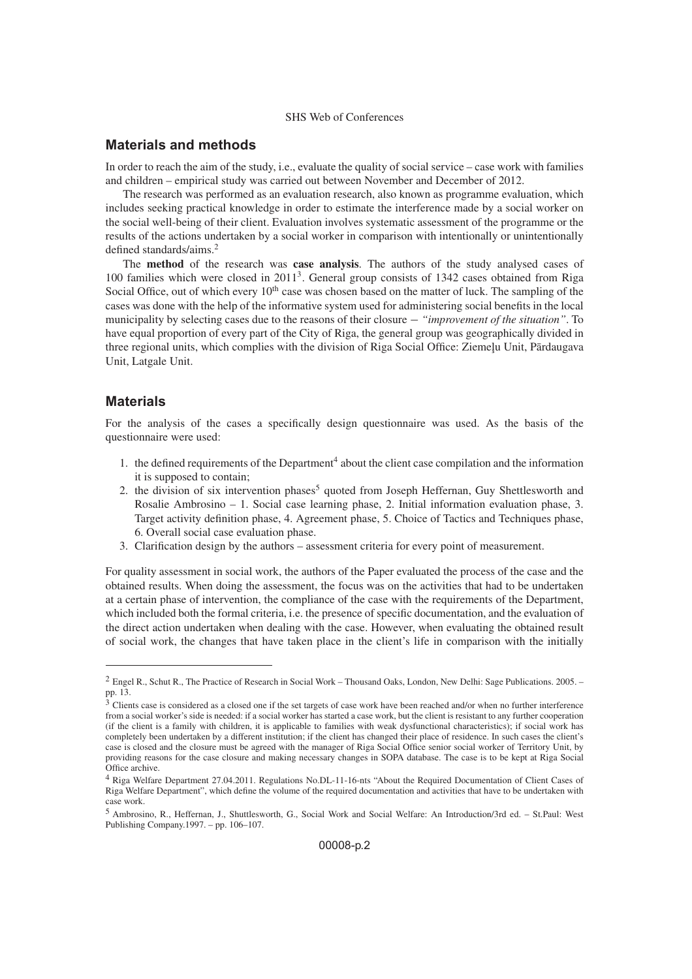### **Materials and methods**

In order to reach the aim of the study, i.e., evaluate the quality of social service – case work with families and children – empirical study was carried out between November and December of 2012.

The research was performed as an evaluation research, also known as programme evaluation, which includes seeking practical knowledge in order to estimate the interference made by a social worker on the social well-being of their client. Evaluation involves systematic assessment of the programme or the results of the actions undertaken by a social worker in comparison with intentionally or unintentionally defined standards/aims.2

The **method** of the research was **case analysis**. The authors of the study analysed cases of 100 families which were closed in 20113. General group consists of 1342 cases obtained from Riga Social Office, out of which every 10<sup>th</sup> case was chosen based on the matter of luck. The sampling of the cases was done with the help of the informative system used for administering social benefits in the local municipality by selecting cases due to the reasons of their closure − *"improvement of the situation"*. To have equal proportion of every part of the City of Riga, the general group was geographically divided in three regional units, which complies with the division of Riga Social Office: Ziemeļu Unit, Pārdaugava Unit, Latgale Unit.

### **Materials**

For the analysis of the cases a specifically design questionnaire was used. As the basis of the questionnaire were used:

- 1. the defined requirements of the Department<sup>4</sup> about the client case compilation and the information it is supposed to contain;
- 2. the division of six intervention phases<sup>5</sup> quoted from Joseph Heffernan, Guy Shettlesworth and Rosalie Ambrosino – 1. Social case learning phase, 2. Initial information evaluation phase, 3. Target activity definition phase, 4. Agreement phase, 5. Choice of Tactics and Techniques phase, 6. Overall social case evaluation phase.
- 3. Clarification design by the authors assessment criteria for every point of measurement.

For quality assessment in social work, the authors of the Paper evaluated the process of the case and the obtained results. When doing the assessment, the focus was on the activities that had to be undertaken at a certain phase of intervention, the compliance of the case with the requirements of the Department, which included both the formal criteria, i.e. the presence of specific documentation, and the evaluation of the direct action undertaken when dealing with the case. However, when evaluating the obtained result of social work, the changes that have taken place in the client's life in comparison with the initially

<sup>&</sup>lt;sup>2</sup> Engel R., Schut R., The Practice of Research in Social Work – Thousand Oaks, London, New Delhi: Sage Publications. 2005. – pp. 13.

<sup>&</sup>lt;sup>3</sup> Clients case is considered as a closed one if the set targets of case work have been reached and/or when no further interference from a social worker's side is needed: if a social worker has started a case work, but the client is resistant to any further cooperation (if the client is a family with children, it is applicable to families with weak dysfunctional characteristics); if social work has completely been undertaken by a different institution; if the client has changed their place of residence. In such cases the client's case is closed and the closure must be agreed with the manager of Riga Social Office senior social worker of Territory Unit, by providing reasons for the case closure and making necessary changes in SOPA database. The case is to be kept at Riga Social Office archive.

<sup>4</sup> Riga Welfare Department 27.04.2011. Regulations No.DL-11-16-nts "About the Required Documentation of Client Cases of Riga Welfare Department", which define the volume of the required documentation and activities that have to be undertaken with case work.

<sup>5</sup> Ambrosino, R., Heffernan, J., Shuttlesworth, G., Social Work and Social Welfare: An Introduction/3rd ed. – St.Paul: West Publishing Company.1997. – pp. 106–107.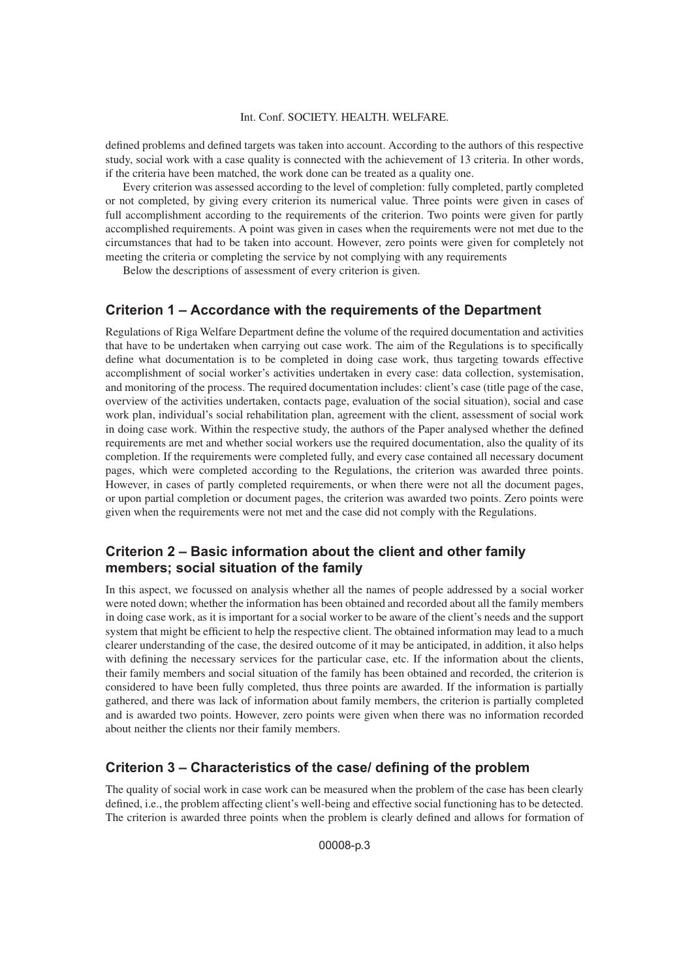defined problems and defined targets was taken into account. According to the authors of this respective study, social work with a case quality is connected with the achievement of 13 criteria. In other words, if the criteria have been matched, the work done can be treated as a quality one.

Every criterion was assessed according to the level of completion: fully completed, partly completed or not completed, by giving every criterion its numerical value. Three points were given in cases of full accomplishment according to the requirements of the criterion. Two points were given for partly accomplished requirements. A point was given in cases when the requirements were not met due to the circumstances that had to be taken into account. However, zero points were given for completely not meeting the criteria or completing the service by not complying with any requirements

Below the descriptions of assessment of every criterion is given.

#### **Criterion 1 – Accordance with the requirements of the Department**

Regulations of Riga Welfare Department define the volume of the required documentation and activities that have to be undertaken when carrying out case work. The aim of the Regulations is to specifically define what documentation is to be completed in doing case work, thus targeting towards effective accomplishment of social worker's activities undertaken in every case: data collection, systemisation, and monitoring of the process. The required documentation includes: client's case (title page of the case, overview of the activities undertaken, contacts page, evaluation of the social situation), social and case work plan, individual's social rehabilitation plan, agreement with the client, assessment of social work in doing case work. Within the respective study, the authors of the Paper analysed whether the defined requirements are met and whether social workers use the required documentation, also the quality of its completion. If the requirements were completed fully, and every case contained all necessary document pages, which were completed according to the Regulations, the criterion was awarded three points. However, in cases of partly completed requirements, or when there were not all the document pages, or upon partial completion or document pages, the criterion was awarded two points. Zero points were given when the requirements were not met and the case did not comply with the Regulations.

### **Criterion 2 – Basic information about the client and other family members; social situation of the family**

In this aspect, we focussed on analysis whether all the names of people addressed by a social worker were noted down; whether the information has been obtained and recorded about all the family members in doing case work, as it is important for a social worker to be aware of the client's needs and the support system that might be efficient to help the respective client. The obtained information may lead to a much clearer understanding of the case, the desired outcome of it may be anticipated, in addition, it also helps with defining the necessary services for the particular case, etc. If the information about the clients, their family members and social situation of the family has been obtained and recorded, the criterion is considered to have been fully completed, thus three points are awarded. If the information is partially gathered, and there was lack of information about family members, the criterion is partially completed and is awarded two points. However, zero points were given when there was no information recorded about neither the clients nor their family members.

### **Criterion 3 – Characteristics of the case/ defining of the problem**

The quality of social work in case work can be measured when the problem of the case has been clearly defined, i.e., the problem affecting client's well-being and effective social functioning has to be detected. The criterion is awarded three points when the problem is clearly defined and allows for formation of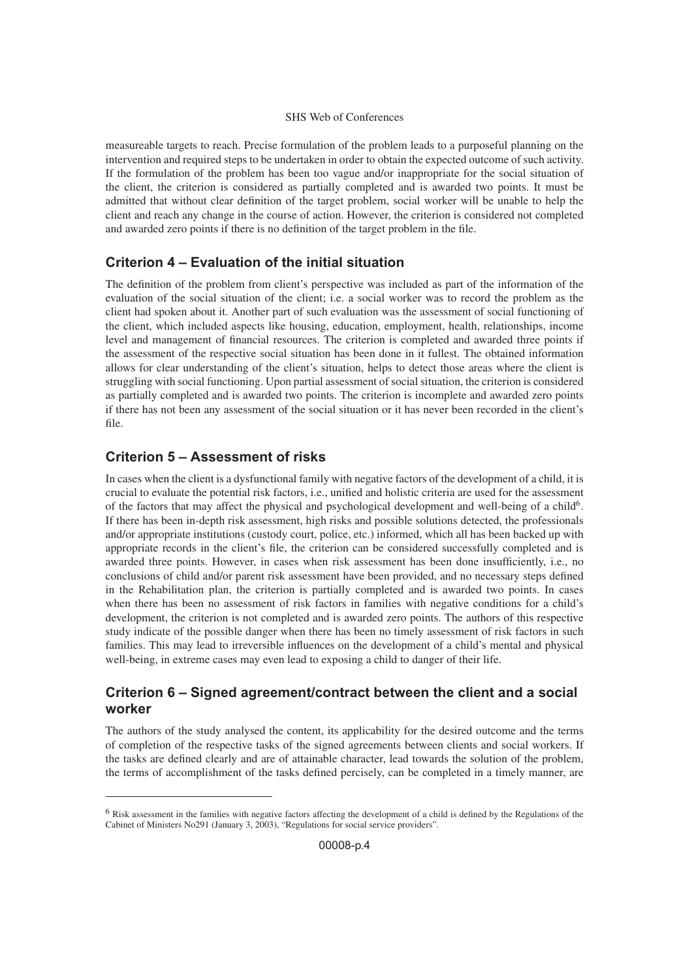measureable targets to reach. Precise formulation of the problem leads to a purposeful planning on the intervention and required steps to be undertaken in order to obtain the expected outcome of such activity. If the formulation of the problem has been too vague and/or inappropriate for the social situation of the client, the criterion is considered as partially completed and is awarded two points. It must be admitted that without clear definition of the target problem, social worker will be unable to help the client and reach any change in the course of action. However, the criterion is considered not completed and awarded zero points if there is no definition of the target problem in the file.

## **Criterion 4 – Evaluation of the initial situation**

The definition of the problem from client's perspective was included as part of the information of the evaluation of the social situation of the client; i.e. a social worker was to record the problem as the client had spoken about it. Another part of such evaluation was the assessment of social functioning of the client, which included aspects like housing, education, employment, health, relationships, income level and management of financial resources. The criterion is completed and awarded three points if the assessment of the respective social situation has been done in it fullest. The obtained information allows for clear understanding of the client's situation, helps to detect those areas where the client is struggling with social functioning. Upon partial assessment of social situation, the criterion is considered as partially completed and is awarded two points. The criterion is incomplete and awarded zero points if there has not been any assessment of the social situation or it has never been recorded in the client's file.

## **Criterion 5 – Assessment of risks**

In cases when the client is a dysfunctional family with negative factors of the development of a child, it is crucial to evaluate the potential risk factors, i.e., unified and holistic criteria are used for the assessment of the factors that may affect the physical and psychological development and well-being of a child<sup>6</sup>. If there has been in-depth risk assessment, high risks and possible solutions detected, the professionals and/or appropriate institutions (custody court, police, etc.) informed, which all has been backed up with appropriate records in the client's file, the criterion can be considered successfully completed and is awarded three points. However, in cases when risk assessment has been done insufficiently, i.e., no conclusions of child and/or parent risk assessment have been provided, and no necessary steps defined in the Rehabilitation plan, the criterion is partially completed and is awarded two points. In cases when there has been no assessment of risk factors in families with negative conditions for a child's development, the criterion is not completed and is awarded zero points. The authors of this respective study indicate of the possible danger when there has been no timely assessment of risk factors in such families. This may lead to irreversible influences on the development of a child's mental and physical well-being, in extreme cases may even lead to exposing a child to danger of their life.

## **Criterion 6 – Signed agreement/contract between the client and a social worker**

The authors of the study analysed the content, its applicability for the desired outcome and the terms of completion of the respective tasks of the signed agreements between clients and social workers. If the tasks are defined clearly and are of attainable character, lead towards the solution of the problem, the terms of accomplishment of the tasks defined percisely, can be completed in a timely manner, are

<sup>6</sup> Risk assessment in the families with negative factors affecting the development of a child is defined by the Regulations of the Cabinet of Ministers No291 (January 3, 2003), "Regulations for social service providers".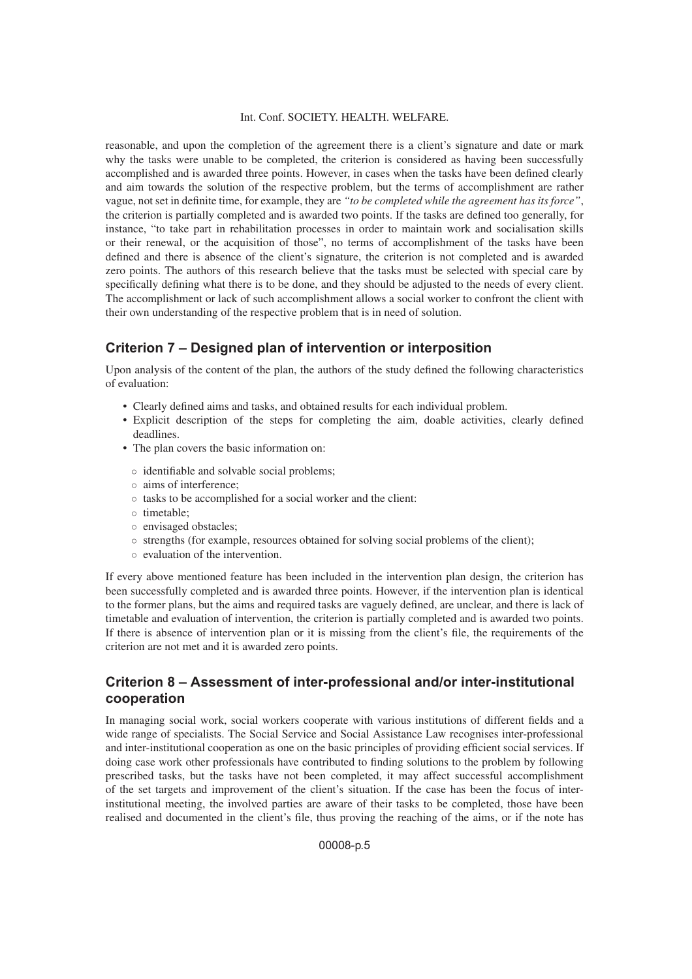reasonable, and upon the completion of the agreement there is a client's signature and date or mark why the tasks were unable to be completed, the criterion is considered as having been successfully accomplished and is awarded three points. However, in cases when the tasks have been defined clearly and aim towards the solution of the respective problem, but the terms of accomplishment are rather vague, not set in definite time, for example, they are *"to be completed while the agreement has its force"*, the criterion is partially completed and is awarded two points. If the tasks are defined too generally, for instance, "to take part in rehabilitation processes in order to maintain work and socialisation skills or their renewal, or the acquisition of those", no terms of accomplishment of the tasks have been defined and there is absence of the client's signature, the criterion is not completed and is awarded zero points. The authors of this research believe that the tasks must be selected with special care by specifically defining what there is to be done, and they should be adjusted to the needs of every client. The accomplishment or lack of such accomplishment allows a social worker to confront the client with their own understanding of the respective problem that is in need of solution.

### **Criterion 7 – Designed plan of intervention or interposition**

Upon analysis of the content of the plan, the authors of the study defined the following characteristics of evaluation:

- Clearly defined aims and tasks, and obtained results for each individual problem.
- Explicit description of the steps for completing the aim, doable activities, clearly defined deadlines.
- The plan covers the basic information on:
	- identifiable and solvable social problems;
- aims of interference;
- tasks to be accomplished for a social worker and the client:
- timetable;
- envisaged obstacles;
- strengths (for example, resources obtained for solving social problems of the client);
- evaluation of the intervention.

If every above mentioned feature has been included in the intervention plan design, the criterion has been successfully completed and is awarded three points. However, if the intervention plan is identical to the former plans, but the aims and required tasks are vaguely defined, are unclear, and there is lack of timetable and evaluation of intervention, the criterion is partially completed and is awarded two points. If there is absence of intervention plan or it is missing from the client's file, the requirements of the criterion are not met and it is awarded zero points.

## **Criterion 8 – Assessment of inter-professional and/or inter-institutional cooperation**

In managing social work, social workers cooperate with various institutions of different fields and a wide range of specialists. The Social Service and Social Assistance Law recognises inter-professional and inter-institutional cooperation as one on the basic principles of providing efficient social services. If doing case work other professionals have contributed to finding solutions to the problem by following prescribed tasks, but the tasks have not been completed, it may affect successful accomplishment of the set targets and improvement of the client's situation. If the case has been the focus of interinstitutional meeting, the involved parties are aware of their tasks to be completed, those have been realised and documented in the client's file, thus proving the reaching of the aims, or if the note has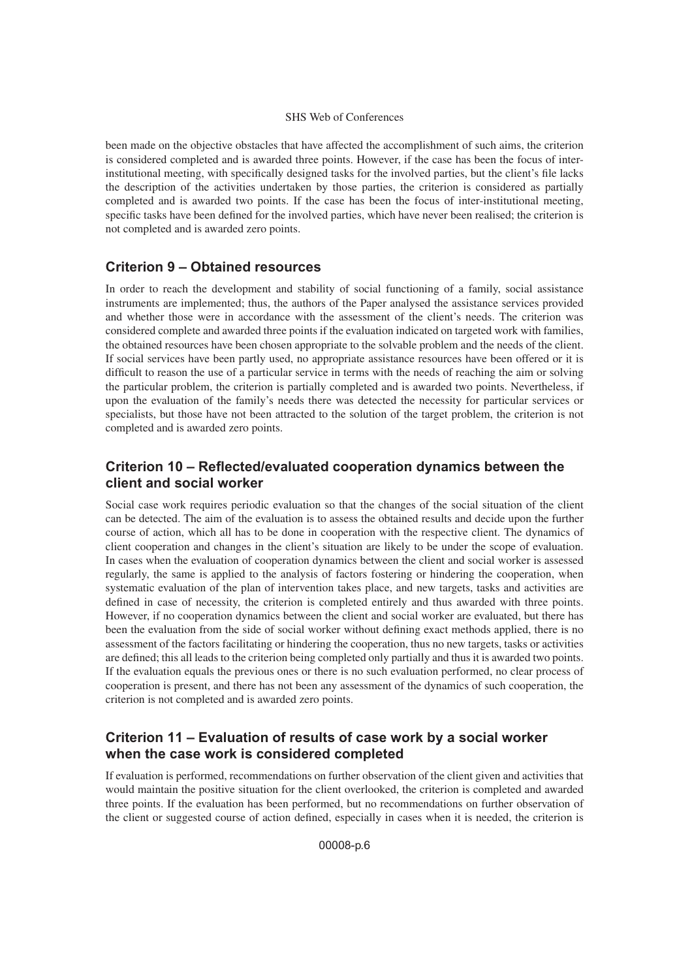been made on the objective obstacles that have affected the accomplishment of such aims, the criterion is considered completed and is awarded three points. However, if the case has been the focus of interinstitutional meeting, with specifically designed tasks for the involved parties, but the client's file lacks the description of the activities undertaken by those parties, the criterion is considered as partially completed and is awarded two points. If the case has been the focus of inter-institutional meeting, specific tasks have been defined for the involved parties, which have never been realised; the criterion is not completed and is awarded zero points.

## **Criterion 9 – Obtained resources**

In order to reach the development and stability of social functioning of a family, social assistance instruments are implemented; thus, the authors of the Paper analysed the assistance services provided and whether those were in accordance with the assessment of the client's needs. The criterion was considered complete and awarded three points if the evaluation indicated on targeted work with families, the obtained resources have been chosen appropriate to the solvable problem and the needs of the client. If social services have been partly used, no appropriate assistance resources have been offered or it is difficult to reason the use of a particular service in terms with the needs of reaching the aim or solving the particular problem, the criterion is partially completed and is awarded two points. Nevertheless, if upon the evaluation of the family's needs there was detected the necessity for particular services or specialists, but those have not been attracted to the solution of the target problem, the criterion is not completed and is awarded zero points.

## **Criterion 10 – Reflected/evaluated cooperation dynamics between the client and social worker**

Social case work requires periodic evaluation so that the changes of the social situation of the client can be detected. The aim of the evaluation is to assess the obtained results and decide upon the further course of action, which all has to be done in cooperation with the respective client. The dynamics of client cooperation and changes in the client's situation are likely to be under the scope of evaluation. In cases when the evaluation of cooperation dynamics between the client and social worker is assessed regularly, the same is applied to the analysis of factors fostering or hindering the cooperation, when systematic evaluation of the plan of intervention takes place, and new targets, tasks and activities are defined in case of necessity, the criterion is completed entirely and thus awarded with three points. However, if no cooperation dynamics between the client and social worker are evaluated, but there has been the evaluation from the side of social worker without defining exact methods applied, there is no assessment of the factors facilitating or hindering the cooperation, thus no new targets, tasks or activities are defined; this all leads to the criterion being completed only partially and thus it is awarded two points. If the evaluation equals the previous ones or there is no such evaluation performed, no clear process of cooperation is present, and there has not been any assessment of the dynamics of such cooperation, the criterion is not completed and is awarded zero points.

## **Criterion 11 – Evaluation of results of case work by a social worker when the case work is considered completed**

If evaluation is performed, recommendations on further observation of the client given and activities that would maintain the positive situation for the client overlooked, the criterion is completed and awarded three points. If the evaluation has been performed, but no recommendations on further observation of the client or suggested course of action defined, especially in cases when it is needed, the criterion is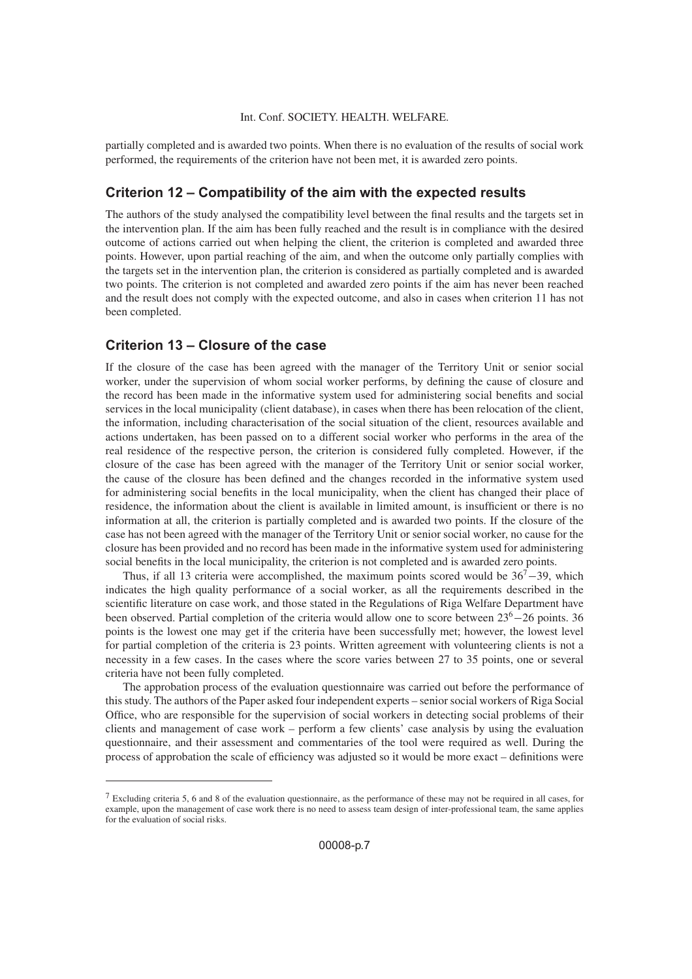partially completed and is awarded two points. When there is no evaluation of the results of social work performed, the requirements of the criterion have not been met, it is awarded zero points.

### **Criterion 12 – Compatibility of the aim with the expected results**

The authors of the study analysed the compatibility level between the final results and the targets set in the intervention plan. If the aim has been fully reached and the result is in compliance with the desired outcome of actions carried out when helping the client, the criterion is completed and awarded three points. However, upon partial reaching of the aim, and when the outcome only partially complies with the targets set in the intervention plan, the criterion is considered as partially completed and is awarded two points. The criterion is not completed and awarded zero points if the aim has never been reached and the result does not comply with the expected outcome, and also in cases when criterion 11 has not been completed.

## **Criterion 13 – Closure of the case**

If the closure of the case has been agreed with the manager of the Territory Unit or senior social worker, under the supervision of whom social worker performs, by defining the cause of closure and the record has been made in the informative system used for administering social benefits and social services in the local municipality (client database), in cases when there has been relocation of the client, the information, including characterisation of the social situation of the client, resources available and actions undertaken, has been passed on to a different social worker who performs in the area of the real residence of the respective person, the criterion is considered fully completed. However, if the closure of the case has been agreed with the manager of the Territory Unit or senior social worker, the cause of the closure has been defined and the changes recorded in the informative system used for administering social benefits in the local municipality, when the client has changed their place of residence, the information about the client is available in limited amount, is insufficient or there is no information at all, the criterion is partially completed and is awarded two points. If the closure of the case has not been agreed with the manager of the Territory Unit or senior social worker, no cause for the closure has been provided and no record has been made in the informative system used for administering social benefits in the local municipality, the criterion is not completed and is awarded zero points.

Thus, if all 13 criteria were accomplished, the maximum points scored would be  $36<sup>7</sup>$ –39, which indicates the high quality performance of a social worker, as all the requirements described in the scientific literature on case work, and those stated in the Regulations of Riga Welfare Department have been observed. Partial completion of the criteria would allow one to score between  $23<sup>6</sup>−26$  points. 36 points is the lowest one may get if the criteria have been successfully met; however, the lowest level for partial completion of the criteria is 23 points. Written agreement with volunteering clients is not a necessity in a few cases. In the cases where the score varies between 27 to 35 points, one or several criteria have not been fully completed.

The approbation process of the evaluation questionnaire was carried out before the performance of this study. The authors of the Paper asked four independent experts – senior social workers of Riga Social Office, who are responsible for the supervision of social workers in detecting social problems of their clients and management of case work – perform a few clients' case analysis by using the evaluation questionnaire, and their assessment and commentaries of the tool were required as well. During the process of approbation the scale of efficiency was adjusted so it would be more exact – definitions were

<sup>7</sup> Excluding criteria 5, 6 and 8 of the evaluation questionnaire, as the performance of these may not be required in all cases, for example, upon the management of case work there is no need to assess team design of inter-professional team, the same applies for the evaluation of social risks.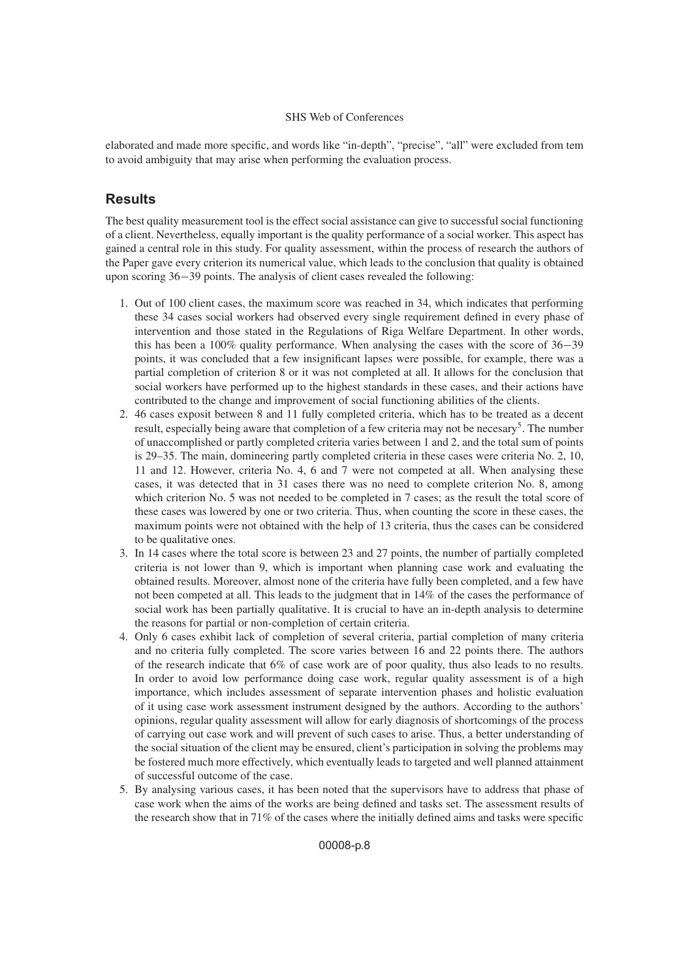elaborated and made more specific, and words like "in-depth", "precise", "all" were excluded from tem to avoid ambiguity that may arise when performing the evaluation process.

### **Results**

The best quality measurement tool is the effect social assistance can give to successful social functioning of a client. Nevertheless, equally important is the quality performance of a social worker. This aspect has gained a central role in this study. For quality assessment, within the process of research the authors of the Paper gave every criterion its numerical value, which leads to the conclusion that quality is obtained upon scoring 36−39 points. The analysis of client cases revealed the following:

- 1. Out of 100 client cases, the maximum score was reached in 34, which indicates that performing these 34 cases social workers had observed every single requirement defined in every phase of intervention and those stated in the Regulations of Riga Welfare Department. In other words, this has been a 100% quality performance. When analysing the cases with the score of 36−39 points, it was concluded that a few insignificant lapses were possible, for example, there was a partial completion of criterion 8 or it was not completed at all. It allows for the conclusion that social workers have performed up to the highest standards in these cases, and their actions have contributed to the change and improvement of social functioning abilities of the clients.
- 2. 46 cases exposit between 8 and 11 fully completed criteria, which has to be treated as a decent result, especially being aware that completion of a few criteria may not be necesary<sup>5</sup>. The number of unaccomplished or partly completed criteria varies between 1 and 2, and the total sum of points is 29–35. The main, domineering partly completed criteria in these cases were criteria No. 2, 10, 11 and 12. However, criteria No. 4, 6 and 7 were not competed at all. When analysing these cases, it was detected that in 31 cases there was no need to complete criterion No. 8, among which criterion No. 5 was not needed to be completed in 7 cases; as the result the total score of these cases was lowered by one or two criteria. Thus, when counting the score in these cases, the maximum points were not obtained with the help of 13 criteria, thus the cases can be considered to be qualitative ones.
- 3. In 14 cases where the total score is between 23 and 27 points, the number of partially completed criteria is not lower than 9, which is important when planning case work and evaluating the obtained results. Moreover, almost none of the criteria have fully been completed, and a few have not been competed at all. This leads to the judgment that in 14% of the cases the performance of social work has been partially qualitative. It is crucial to have an in-depth analysis to determine the reasons for partial or non-completion of certain criteria.
- 4. Only 6 cases exhibit lack of completion of several criteria, partial completion of many criteria and no criteria fully completed. The score varies between 16 and 22 points there. The authors of the research indicate that 6% of case work are of poor quality, thus also leads to no results. In order to avoid low performance doing case work, regular quality assessment is of a high importance, which includes assessment of separate intervention phases and holistic evaluation of it using case work assessment instrument designed by the authors. According to the authors' opinions, regular quality assessment will allow for early diagnosis of shortcomings of the process of carrying out case work and will prevent of such cases to arise. Thus, a better understanding of the social situation of the client may be ensured, client's participation in solving the problems may be fostered much more effectively, which eventually leads to targeted and well planned attainment of successful outcome of the case.
- 5. By analysing various cases, it has been noted that the supervisors have to address that phase of case work when the aims of the works are being defined and tasks set. The assessment results of the research show that in 71% of the cases where the initially defined aims and tasks were specific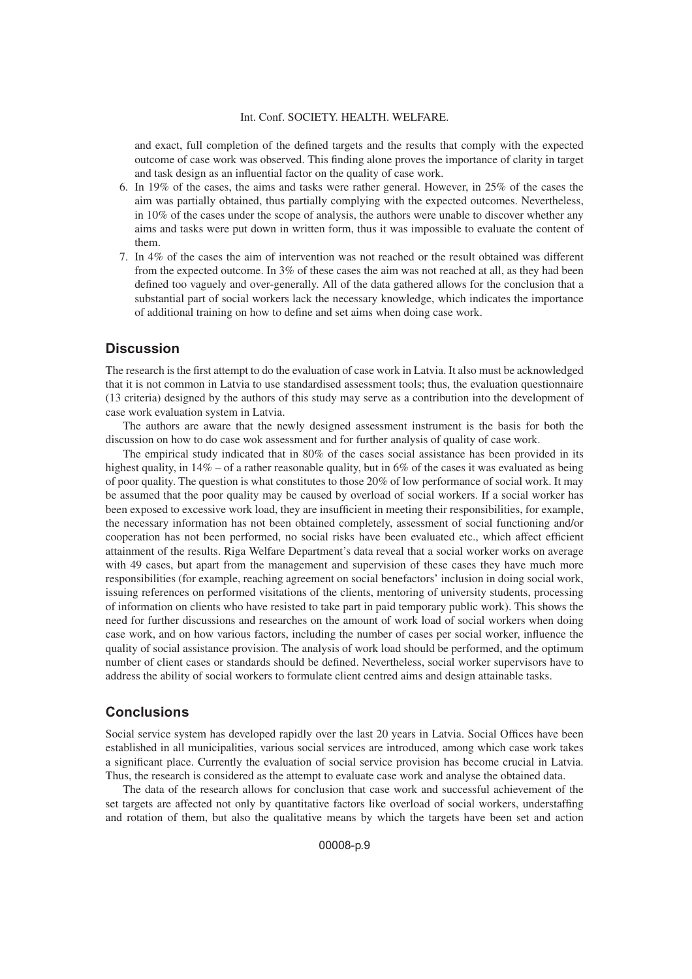and exact, full completion of the defined targets and the results that comply with the expected outcome of case work was observed. This finding alone proves the importance of clarity in target and task design as an influential factor on the quality of case work.

- 6. In 19% of the cases, the aims and tasks were rather general. However, in 25% of the cases the aim was partially obtained, thus partially complying with the expected outcomes. Nevertheless, in 10% of the cases under the scope of analysis, the authors were unable to discover whether any aims and tasks were put down in written form, thus it was impossible to evaluate the content of them.
- 7. In 4% of the cases the aim of intervention was not reached or the result obtained was different from the expected outcome. In 3% of these cases the aim was not reached at all, as they had been defined too vaguely and over-generally. All of the data gathered allows for the conclusion that a substantial part of social workers lack the necessary knowledge, which indicates the importance of additional training on how to define and set aims when doing case work.

### **Discussion**

The research is the first attempt to do the evaluation of case work in Latvia. It also must be acknowledged that it is not common in Latvia to use standardised assessment tools; thus, the evaluation questionnaire (13 criteria) designed by the authors of this study may serve as a contribution into the development of case work evaluation system in Latvia.

The authors are aware that the newly designed assessment instrument is the basis for both the discussion on how to do case wok assessment and for further analysis of quality of case work.

The empirical study indicated that in 80% of the cases social assistance has been provided in its highest quality, in  $14\%$  – of a rather reasonable quality, but in 6% of the cases it was evaluated as being of poor quality. The question is what constitutes to those  $20\%$  of low performance of social work. It may be assumed that the poor quality may be caused by overload of social workers. If a social worker has been exposed to excessive work load, they are insufficient in meeting their responsibilities, for example, the necessary information has not been obtained completely, assessment of social functioning and/or cooperation has not been performed, no social risks have been evaluated etc., which affect efficient attainment of the results. Riga Welfare Department's data reveal that a social worker works on average with 49 cases, but apart from the management and supervision of these cases they have much more responsibilities (for example, reaching agreement on social benefactors' inclusion in doing social work, issuing references on performed visitations of the clients, mentoring of university students, processing of information on clients who have resisted to take part in paid temporary public work). This shows the need for further discussions and researches on the amount of work load of social workers when doing case work, and on how various factors, including the number of cases per social worker, influence the quality of social assistance provision. The analysis of work load should be performed, and the optimum number of client cases or standards should be defined. Nevertheless, social worker supervisors have to address the ability of social workers to formulate client centred aims and design attainable tasks.

### **Conclusions**

Social service system has developed rapidly over the last 20 years in Latvia. Social Offices have been established in all municipalities, various social services are introduced, among which case work takes a significant place. Currently the evaluation of social service provision has become crucial in Latvia. Thus, the research is considered as the attempt to evaluate case work and analyse the obtained data.

The data of the research allows for conclusion that case work and successful achievement of the set targets are affected not only by quantitative factors like overload of social workers, understaffing and rotation of them, but also the qualitative means by which the targets have been set and action